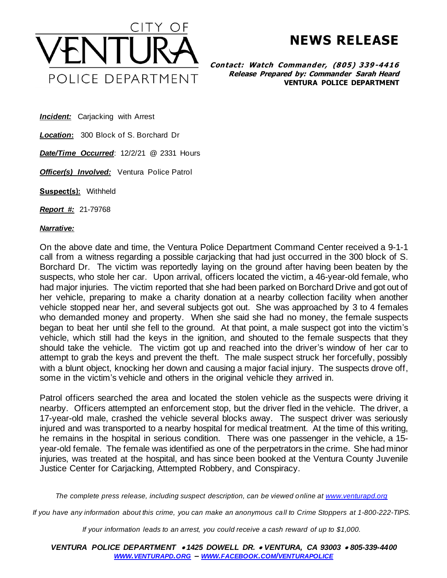

**NEWS RELEASE**

**Contact: Watch Commander, (805) 339-4416 Release Prepared by: Commander Sarah Heard VENTURA POLICE DEPARTMENT**

**Incident:** Carjacking with Arrest

*Location***:** 300 Block of S. Borchard Dr

*Date/Time Occurred*: 12/2/21 @ 2331 Hours

**Officer(s) Involved:** Ventura Police Patrol

**Suspect(s):** Withheld

*Report #:* 21-79768

## *Narrative:*

On the above date and time, the Ventura Police Department Command Center received a 9-1-1 call from a witness regarding a possible carjacking that had just occurred in the 300 block of S. Borchard Dr. The victim was reportedly laying on the ground after having been beaten by the suspects, who stole her car. Upon arrival, officers located the victim, a 46-year-old female, who had major injuries. The victim reported that she had been parked on Borchard Drive and got out of her vehicle, preparing to make a charity donation at a nearby collection facility when another vehicle stopped near her, and several subjects got out. She was approached by 3 to 4 females who demanded money and property. When she said she had no money, the female suspects began to beat her until she fell to the ground. At that point, a male suspect got into the victim's vehicle, which still had the keys in the ignition, and shouted to the female suspects that they should take the vehicle. The victim got up and reached into the driver's window of her car to attempt to grab the keys and prevent the theft. The male suspect struck her forcefully, possibly with a blunt object, knocking her down and causing a major facial injury. The suspects drove off, some in the victim's vehicle and others in the original vehicle they arrived in.

Patrol officers searched the area and located the stolen vehicle as the suspects were driving it nearby. Officers attempted an enforcement stop, but the driver fled in the vehicle. The driver, a 17-year-old male, crashed the vehicle several blocks away. The suspect driver was seriously injured and was transported to a nearby hospital for medical treatment. At the time of this writing, he remains in the hospital in serious condition. There was one passenger in the vehicle, a 15 year-old female. The female was identified as one of the perpetrators in the crime. She had minor injuries, was treated at the hospital, and has since been booked at the Ventura County Juvenile Justice Center for Carjacking, Attempted Robbery, and Conspiracy.

*The complete press release, including suspect description, can be viewed online a[t www.venturapd.org](http://www.venturapd.org/)*

*If you have any information about this crime, you can make an anonymous call to Crime Stoppers at 1-800-222-TIPS.*

*If your information leads to an arrest, you could receive a cash reward of up to \$1,000.*